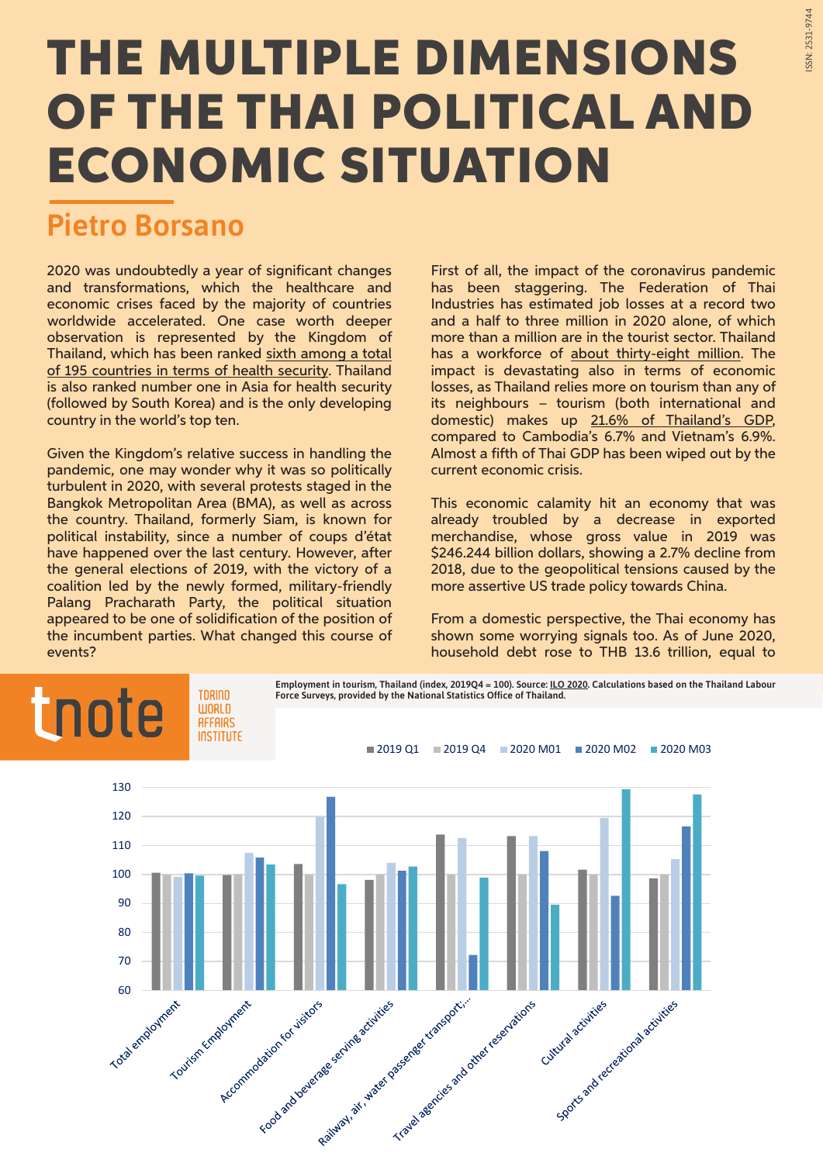## **THE MULTIPLE DIMENSIONS OF THE THAI POLITICAL AND ECONOMIC SITUATION**

## Pietro Borsano

2020 was undoubtedly a year of significant changes and transformations, which the healthcare and economic crises faced by the majority of countries worldwide accelerated. One case worth deeper observation is represented by the Kingdom of Thailand, which has been ranked [sixth among a total](https://www.ghsindex.org/wp-content/uploads/2019/10/2019-Global-Health-Security-Index.pdf) [of 195 countries in terms of health security](https://www.ghsindex.org/wp-content/uploads/2019/10/2019-Global-Health-Security-Index.pdf). Thailand is also ranked number one in Asia for health security (followed by South Korea) and is the only developing country in the world's top ten.

Given the Kingdom's relative success in handling the pandemic, one may wonder why it was so politically turbulent in 2020, with several protests staged in the Bangkok Metropolitan Area (BMA), as well as across the country. Thailand, formerly Siam, is known for political instability, since a number of coups d'état have happened over the last century. However, after the general elections of 2019, with the victory of a coalition led by the newly formed, military-friendly Palang Pracharath Party, the political situation appeared to be one of solidification of the position of the incumbent parties. What changed this course of events?

First of all, the impact of the coronavirus pandemic has been staggering. The Federation of Thai Industries has estimated job losses at a record two and a half to three million in 2020 alone, of which more than a million are in the tourist sector. Thailand has a workforce of [about thirty-eight million.](https://www.bot.or.th/App/BTWS_STAT/statistics/BOTWEBSTAT.aspx?reportID=638&language=eng) The impact is devastating also in terms of economic losses, as Thailand relies more on tourism than any of its neighbours – tourism (both international and domestic) makes up [21.6% of Thailand's GDP,](https://www.ilo.org/wcmsp5/groups/public/---asia/---ro-bangkok/documents/briefingnote/wcms_742664.pdf) compared to Cambodia's 6.7% and Vietnam's 6.9%. Almost a fifth of Thai GDP has been wiped out by the current economic crisis.

This economic calamity hit an economy that was already troubled by a decrease in exported merchandise, whose gross value in 2019 was \$246.244 billion dollars, showing a 2.7% decline from 2018, due to the geopolitical tensions caused by the more assertive US trade policy towards China.

From a domestic perspective, the Thai economy has shown some worrying signals too. As of June 2020, household debt rose to THB 13.6 trillion, equal to

## Employment in tourism, Thailand (index, 2019Q4 = 100). Source: [ILO 2020](https://www.ilo.org/wcmsp5/groups/public/---asia/---ro-bangkok/documents/briefingnote/wcms_742664.pdf). Calculations based on the Thailand Labour tnote TNRINN Force Surveys, provided by the National Statistics Office of Thailand. **WORLD AFFAIRS INSTITUTE** 2019 Q1 2019 Q4 2020 M01 2020 M02 2020 M03 130  $120$ 110 100  $90$ 80 70 Reisburg of the activities and of the space Travelage registers and other regentations Accommodation for visitors Frood and develope some activities and developed the securities Sports and recreational activities Follow employment Tourism Employment Cultural activities